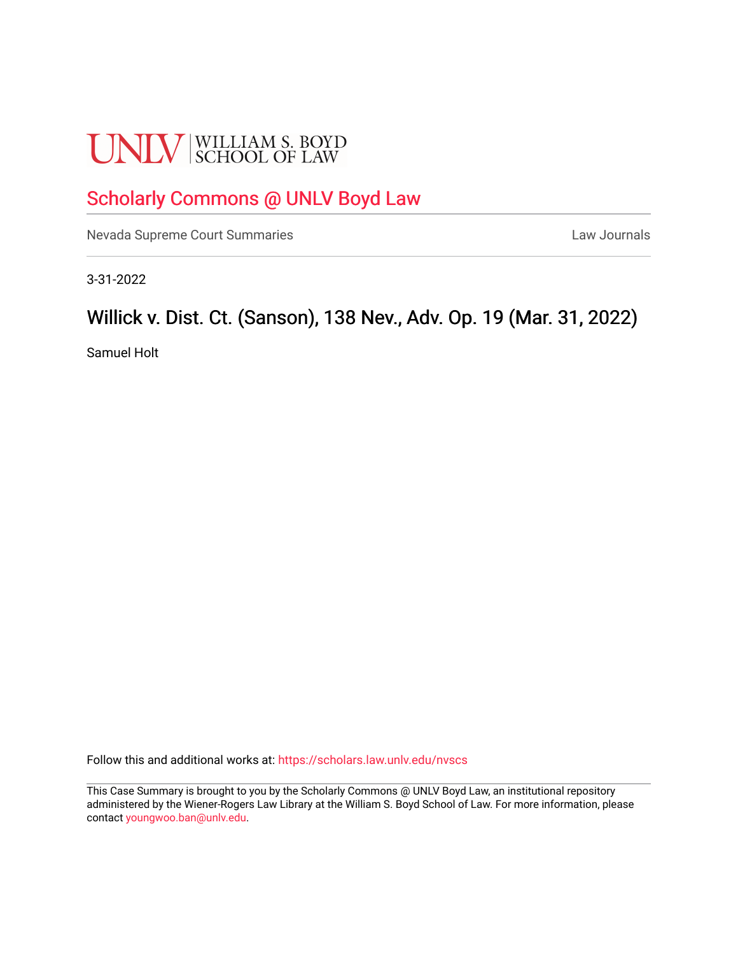# **UNLV** SCHOOL OF LAW

# [Scholarly Commons @ UNLV Boyd Law](https://scholars.law.unlv.edu/)

[Nevada Supreme Court Summaries](https://scholars.law.unlv.edu/nvscs) **Law Journals** Law Journals

3-31-2022

# Willick v. Dist. Ct. (Sanson), 138 Nev., Adv. Op. 19 (Mar. 31, 2022)

Samuel Holt

Follow this and additional works at: [https://scholars.law.unlv.edu/nvscs](https://scholars.law.unlv.edu/nvscs?utm_source=scholars.law.unlv.edu%2Fnvscs%2F1479&utm_medium=PDF&utm_campaign=PDFCoverPages)

This Case Summary is brought to you by the Scholarly Commons @ UNLV Boyd Law, an institutional repository administered by the Wiener-Rogers Law Library at the William S. Boyd School of Law. For more information, please contact [youngwoo.ban@unlv.edu](mailto:youngwoo.ban@unlv.edu).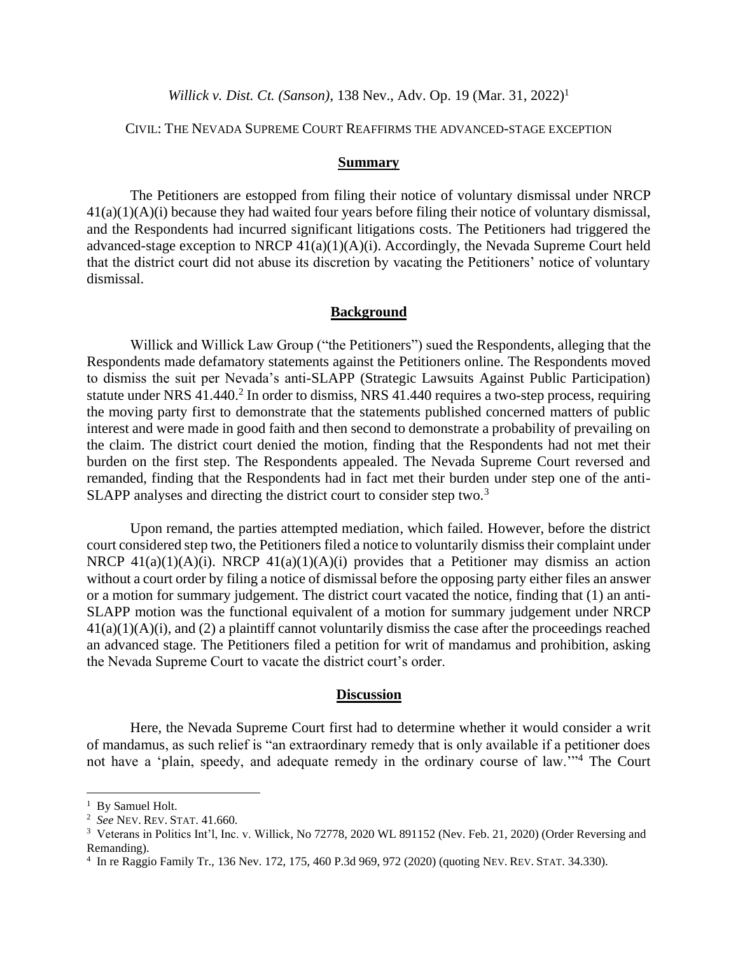*Willick v. Dist. Ct. (Sanson)*, 138 Nev., Adv. Op. 19 (Mar. 31, 2022) 1

## CIVIL: THE NEVADA SUPREME COURT REAFFIRMS THE ADVANCED-STAGE EXCEPTION

#### **Summary**

The Petitioners are estopped from filing their notice of voluntary dismissal under NRCP 41(a)(1)(A)(i) because they had waited four years before filing their notice of voluntary dismissal, and the Respondents had incurred significant litigations costs. The Petitioners had triggered the advanced-stage exception to NRCP 41(a)(1)(A)(i). Accordingly, the Nevada Supreme Court held that the district court did not abuse its discretion by vacating the Petitioners' notice of voluntary dismissal.

### **Background**

Willick and Willick Law Group ("the Petitioners") sued the Respondents, alleging that the Respondents made defamatory statements against the Petitioners online. The Respondents moved to dismiss the suit per Nevada's anti-SLAPP (Strategic Lawsuits Against Public Participation) statute under NRS 41.440.<sup>2</sup> In order to dismiss, NRS 41.440 requires a two-step process, requiring the moving party first to demonstrate that the statements published concerned matters of public interest and were made in good faith and then second to demonstrate a probability of prevailing on the claim. The district court denied the motion, finding that the Respondents had not met their burden on the first step. The Respondents appealed. The Nevada Supreme Court reversed and remanded, finding that the Respondents had in fact met their burden under step one of the anti-SLAPP analyses and directing the district court to consider step two.<sup>3</sup>

Upon remand, the parties attempted mediation, which failed. However, before the district court considered step two, the Petitioners filed a notice to voluntarily dismiss their complaint under NRCP  $41(a)(1)(A)(i)$ . NRCP  $41(a)(1)(A)(i)$  provides that a Petitioner may dismiss an action without a court order by filing a notice of dismissal before the opposing party either files an answer or a motion for summary judgement. The district court vacated the notice, finding that (1) an anti-SLAPP motion was the functional equivalent of a motion for summary judgement under NRCP 41(a)(1)(A)(i), and (2) a plaintiff cannot voluntarily dismiss the case after the proceedings reached an advanced stage. The Petitioners filed a petition for writ of mandamus and prohibition, asking the Nevada Supreme Court to vacate the district court's order.

### **Discussion**

Here, the Nevada Supreme Court first had to determine whether it would consider a writ of mandamus, as such relief is "an extraordinary remedy that is only available if a petitioner does not have a 'plain, speedy, and adequate remedy in the ordinary course of law.'"<sup>4</sup> The Court

<sup>&</sup>lt;sup>1</sup> By Samuel Holt.

<sup>2</sup> *See* NEV. REV.STAT. 41.660.

<sup>&</sup>lt;sup>3</sup> Veterans in Politics Int'l, Inc. v. Willick, No 72778, 2020 WL 891152 (Nev. Feb. 21, 2020) (Order Reversing and Remanding).

<sup>4</sup> In re Raggio Family Tr., 136 Nev. 172, 175, 460 P.3d 969, 972 (2020) (quoting NEV. REV.STAT. 34.330).